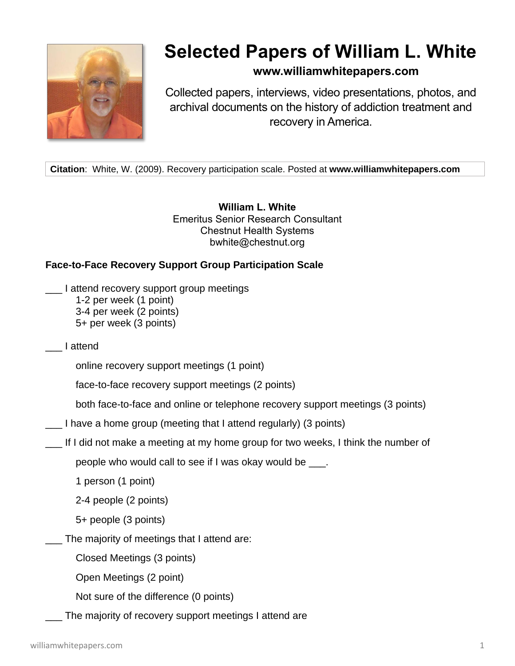

## **Selected Papers of William L. White**

**www.williamwhitepapers.com**

Collected papers, interviews, video presentations, photos, and archival documents on the history of addiction treatment and recovery in America.

**Citation**: White, W. (2009). Recovery participation scale. Posted at **www.williamwhitepapers.com**

**William L. White** Emeritus Senior Research Consultant Chestnut Health Systems bwhite@chestnut.org

## **Face-to-Face Recovery Support Group Participation Scale**

- \_\_\_ I attend recovery support group meetings 1-2 per week (1 point) 3-4 per week (2 points) 5+ per week (3 points)
- \_\_\_ I attend

online recovery support meetings (1 point)

face-to-face recovery support meetings (2 points)

both face-to-face and online or telephone recovery support meetings (3 points)

- \_\_\_ I have a home group (meeting that I attend regularly) (3 points)
- \_\_\_ If I did not make a meeting at my home group for two weeks, I think the number of

people who would call to see if I was okay would be \_\_\_.

1 person (1 point)

2-4 people (2 points)

5+ people (3 points)

\_\_\_ The majority of meetings that I attend are:

Closed Meetings (3 points)

Open Meetings (2 point)

Not sure of the difference (0 points)

The majority of recovery support meetings I attend are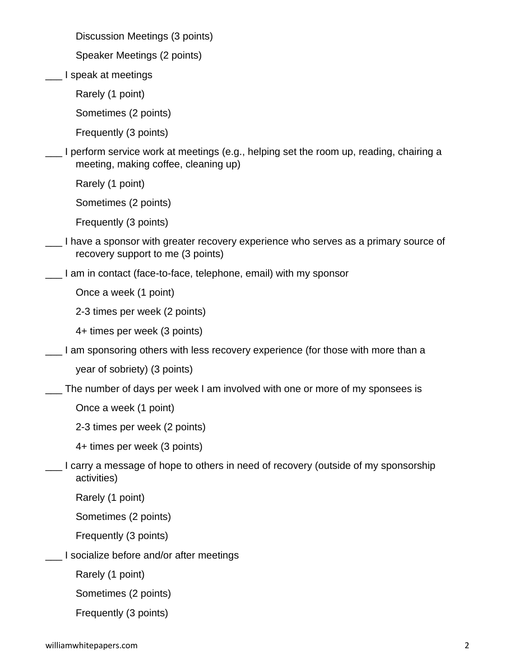Discussion Meetings (3 points)

Speaker Meetings (2 points)

\_\_\_ I speak at meetings

Rarely (1 point)

Sometimes (2 points)

Frequently (3 points)

\_\_\_ I perform service work at meetings (e.g., helping set the room up, reading, chairing a meeting, making coffee, cleaning up)

Rarely (1 point)

Sometimes (2 points)

Frequently (3 points)

- I have a sponsor with greater recovery experience who serves as a primary source of recovery support to me (3 points)
	- \_\_\_ I am in contact (face-to-face, telephone, email) with my sponsor

Once a week (1 point)

2-3 times per week (2 points)

4+ times per week (3 points)

\_\_\_ I am sponsoring others with less recovery experience (for those with more than a

year of sobriety) (3 points)

\_\_\_ The number of days per week I am involved with one or more of my sponsees is

Once a week (1 point)

2-3 times per week (2 points)

4+ times per week (3 points)

\_\_\_ I carry a message of hope to others in need of recovery (outside of my sponsorship activities)

Rarely (1 point)

Sometimes (2 points)

Frequently (3 points)

\_\_\_ I socialize before and/or after meetings

Rarely (1 point)

Sometimes (2 points)

Frequently (3 points)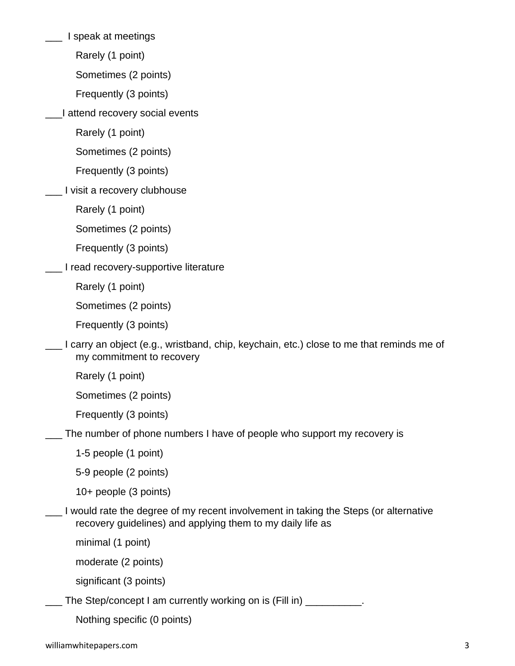\_\_\_ I speak at meetings

Rarely (1 point)

Sometimes (2 points)

Frequently (3 points)

\_\_\_I attend recovery social events

Rarely (1 point)

Sometimes (2 points)

Frequently (3 points)

I visit a recovery clubhouse

Rarely (1 point)

Sometimes (2 points)

Frequently (3 points)

\_\_\_ I read recovery-supportive literature

Rarely (1 point)

Sometimes (2 points)

Frequently (3 points)

\_\_\_ I carry an object (e.g., wristband, chip, keychain, etc.) close to me that reminds me of my commitment to recovery

Rarely (1 point)

Sometimes (2 points)

Frequently (3 points)

\_\_\_ The number of phone numbers I have of people who support my recovery is

1-5 people (1 point)

5-9 people (2 points)

10+ people (3 points)

I would rate the degree of my recent involvement in taking the Steps (or alternative recovery guidelines) and applying them to my daily life as

minimal (1 point)

moderate (2 points)

significant (3 points)

\_ The Step/concept I am currently working on is (Fill in) \_\_\_\_\_\_\_\_\_\_\_.

Nothing specific (0 points)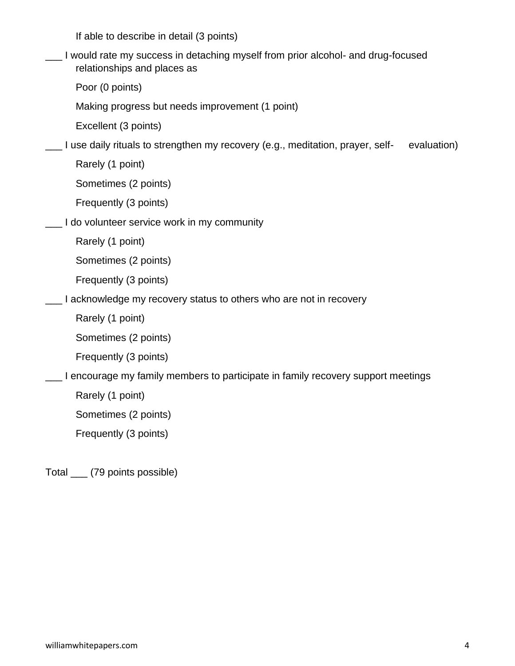If able to describe in detail (3 points)

\_\_\_ I would rate my success in detaching myself from prior alcohol- and drug-focused relationships and places as

Poor (0 points)

Making progress but needs improvement (1 point)

Excellent (3 points)

\_\_\_ I use daily rituals to strengthen my recovery (e.g., meditation, prayer, self- evaluation)

Rarely (1 point)

Sometimes (2 points)

Frequently (3 points)

\_\_\_ I do volunteer service work in my community

Rarely (1 point)

Sometimes (2 points)

Frequently (3 points)

\_\_\_ I acknowledge my recovery status to others who are not in recovery

Rarely (1 point)

Sometimes (2 points)

Frequently (3 points)

I encourage my family members to participate in family recovery support meetings

Rarely (1 point)

Sometimes (2 points)

Frequently (3 points)

Total \_\_\_ (79 points possible)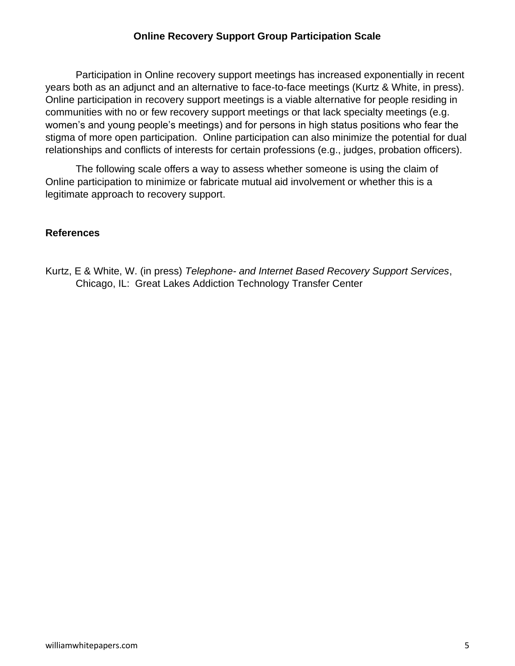## **Online Recovery Support Group Participation Scale**

Participation in Online recovery support meetings has increased exponentially in recent years both as an adjunct and an alternative to face-to-face meetings (Kurtz & White, in press). Online participation in recovery support meetings is a viable alternative for people residing in communities with no or few recovery support meetings or that lack specialty meetings (e.g. women's and young people's meetings) and for persons in high status positions who fear the stigma of more open participation. Online participation can also minimize the potential for dual relationships and conflicts of interests for certain professions (e.g., judges, probation officers).

The following scale offers a way to assess whether someone is using the claim of Online participation to minimize or fabricate mutual aid involvement or whether this is a legitimate approach to recovery support.

## **References**

Kurtz, E & White, W. (in press) *Telephone- and Internet Based Recovery Support Services*, Chicago, IL: Great Lakes Addiction Technology Transfer Center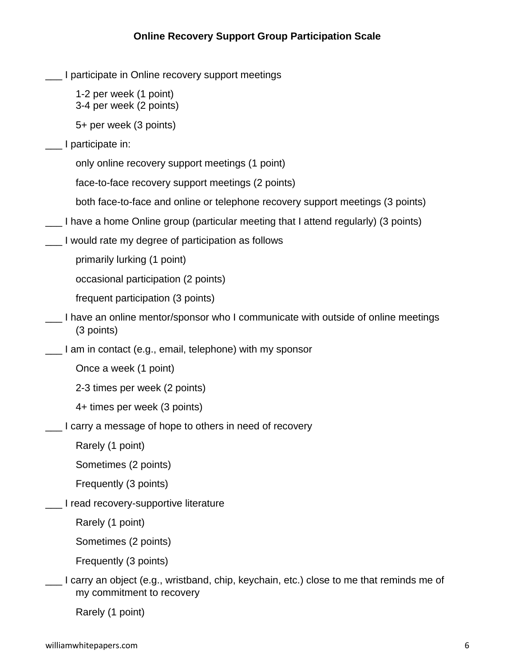- I participate in Online recovery support meetings
	- 1-2 per week (1 point) 3-4 per week (2 points)

5+ per week (3 points)

- I participate in:
	- only online recovery support meetings (1 point)
	- face-to-face recovery support meetings (2 points)
	- both face-to-face and online or telephone recovery support meetings (3 points)
- \_\_\_ I have a home Online group (particular meeting that I attend regularly) (3 points)
- \_\_\_ I would rate my degree of participation as follows

primarily lurking (1 point)

occasional participation (2 points)

frequent participation (3 points)

- I have an online mentor/sponsor who I communicate with outside of online meetings (3 points)
- \_\_\_ I am in contact (e.g., email, telephone) with my sponsor

Once a week (1 point)

2-3 times per week (2 points)

- 4+ times per week (3 points)
- I carry a message of hope to others in need of recovery

Rarely (1 point)

Sometimes (2 points)

Frequently (3 points)

\_\_\_ I read recovery-supportive literature

Rarely (1 point)

Sometimes (2 points)

Frequently (3 points)

\_\_\_ I carry an object (e.g., wristband, chip, keychain, etc.) close to me that reminds me of my commitment to recovery

Rarely (1 point)